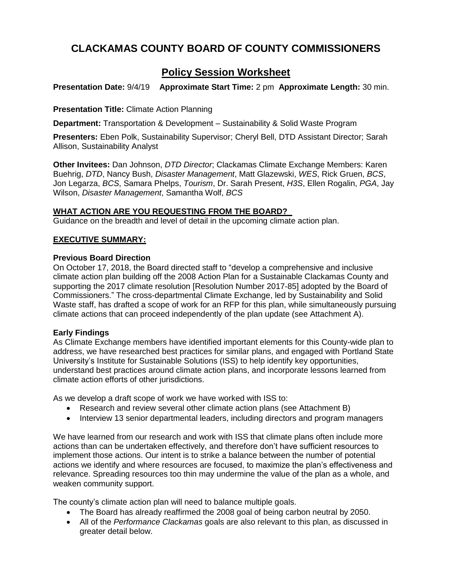# **CLACKAMAS COUNTY BOARD OF COUNTY COMMISSIONERS**

# **Policy Session Worksheet**

**Presentation Date:** 9/4/19 **Approximate Start Time:** 2 pm **Approximate Length:** 30 min.

**Presentation Title:** Climate Action Planning

**Department:** Transportation & Development – Sustainability & Solid Waste Program

**Presenters:** Eben Polk, Sustainability Supervisor; Cheryl Bell, DTD Assistant Director; Sarah Allison, Sustainability Analyst

**Other Invitees:** Dan Johnson, *DTD Director*; Clackamas Climate Exchange Members: Karen Buehrig, *DTD*, Nancy Bush, *Disaster Management*, Matt Glazewski, *WES*, Rick Gruen, *BCS*, Jon Legarza, *BCS*, Samara Phelps, *Tourism*, Dr. Sarah Present, *H3S*, Ellen Rogalin, *PGA*, Jay Wilson, *Disaster Management*, Samantha Wolf, *BCS*

### **WHAT ACTION ARE YOU REQUESTING FROM THE BOARD?**

Guidance on the breadth and level of detail in the upcoming climate action plan.

### **EXECUTIVE SUMMARY:**

### **Previous Board Direction**

On October 17, 2018, the Board directed staff to "develop a comprehensive and inclusive climate action plan building off the 2008 Action Plan for a Sustainable Clackamas County and supporting the 2017 climate resolution [Resolution Number 2017-85] adopted by the Board of Commissioners." The cross-departmental Climate Exchange, led by Sustainability and Solid Waste staff, has drafted a scope of work for an RFP for this plan, while simultaneously pursuing climate actions that can proceed independently of the plan update (see Attachment A).

### **Early Findings**

As Climate Exchange members have identified important elements for this County-wide plan to address, we have researched best practices for similar plans, and engaged with Portland State University's Institute for Sustainable Solutions (ISS) to help identify key opportunities, understand best practices around climate action plans, and incorporate lessons learned from climate action efforts of other jurisdictions.

As we develop a draft scope of work we have worked with ISS to:

- Research and review several other climate action plans (see Attachment B)
- Interview 13 senior departmental leaders, including directors and program managers

We have learned from our research and work with ISS that climate plans often include more actions than can be undertaken effectively, and therefore don't have sufficient resources to implement those actions. Our intent is to strike a balance between the number of potential actions we identify and where resources are focused, to maximize the plan's effectiveness and relevance. Spreading resources too thin may undermine the value of the plan as a whole, and weaken community support.

The county's climate action plan will need to balance multiple goals.

- The Board has already reaffirmed the 2008 goal of being carbon neutral by 2050.
- All of the *Performance Clackamas* goals are also relevant to this plan, as discussed in greater detail below.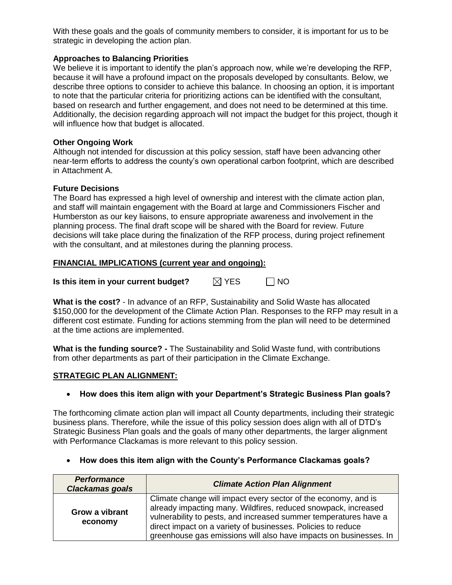With these goals and the goals of community members to consider, it is important for us to be strategic in developing the action plan.

### **Approaches to Balancing Priorities**

We believe it is important to identify the plan's approach now, while we're developing the RFP, because it will have a profound impact on the proposals developed by consultants. Below, we describe three options to consider to achieve this balance. In choosing an option, it is important to note that the particular criteria for prioritizing actions can be identified with the consultant, based on research and further engagement, and does not need to be determined at this time. Additionally, the decision regarding approach will not impact the budget for this project, though it will influence how that budget is allocated.

### **Other Ongoing Work**

Although not intended for discussion at this policy session, staff have been advancing other near-term efforts to address the county's own operational carbon footprint, which are described in Attachment A.

### **Future Decisions**

The Board has expressed a high level of ownership and interest with the climate action plan, and staff will maintain engagement with the Board at large and Commissioners Fischer and Humberston as our key liaisons, to ensure appropriate awareness and involvement in the planning process. The final draft scope will be shared with the Board for review. Future decisions will take place during the finalization of the RFP process, during project refinement with the consultant, and at milestones during the planning process.

### **FINANCIAL IMPLICATIONS (current year and ongoing):**

| $\boxtimes$ YES<br>Is this item in your current budget? | $\Box$ NO |
|---------------------------------------------------------|-----------|
|---------------------------------------------------------|-----------|

**What is the cost?** - In advance of an RFP, Sustainability and Solid Waste has allocated \$150,000 for the development of the Climate Action Plan. Responses to the RFP may result in a different cost estimate. Funding for actions stemming from the plan will need to be determined at the time actions are implemented.

**What is the funding source? -** The Sustainability and Solid Waste fund, with contributions from other departments as part of their participation in the Climate Exchange.

### **STRATEGIC PLAN ALIGNMENT:**

### **How does this item align with your Department's Strategic Business Plan goals?**

The forthcoming climate action plan will impact all County departments, including their strategic business plans. Therefore, while the issue of this policy session does align with all of DTD's Strategic Business Plan goals and the goals of many other departments, the larger alignment with Performance Clackamas is more relevant to this policy session.

| <b>Performance</b><br>Clackamas goals | <b>Climate Action Plan Alignment</b>                                                                                                                                                                                                                                                                                                      |  |
|---------------------------------------|-------------------------------------------------------------------------------------------------------------------------------------------------------------------------------------------------------------------------------------------------------------------------------------------------------------------------------------------|--|
| Grow a vibrant<br>economy             | Climate change will impact every sector of the economy, and is<br>already impacting many. Wildfires, reduced snowpack, increased<br>vulnerability to pests, and increased summer temperatures have a<br>direct impact on a variety of businesses. Policies to reduce<br>greenhouse gas emissions will also have impacts on businesses. In |  |

### **How does this item align with the County's Performance Clackamas goals?**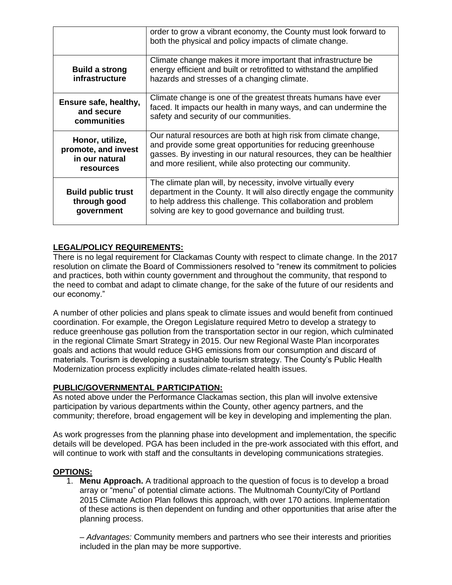|                                                                              | order to grow a vibrant economy, the County must look forward to<br>both the physical and policy impacts of climate change.                                                                                                                                          |
|------------------------------------------------------------------------------|----------------------------------------------------------------------------------------------------------------------------------------------------------------------------------------------------------------------------------------------------------------------|
| <b>Build a strong</b><br>infrastructure                                      | Climate change makes it more important that infrastructure be<br>energy efficient and built or retrofitted to withstand the amplified<br>hazards and stresses of a changing climate.                                                                                 |
| Ensure safe, healthy,<br>and secure<br>communities                           | Climate change is one of the greatest threats humans have ever<br>faced. It impacts our health in many ways, and can undermine the<br>safety and security of our communities.                                                                                        |
| Honor, utilize,<br>promote, and invest<br>in our natural<br><b>resources</b> | Our natural resources are both at high risk from climate change,<br>and provide some great opportunities for reducing greenhouse<br>gasses. By investing in our natural resources, they can be healthier<br>and more resilient, while also protecting our community. |
| <b>Build public trust</b><br>through good<br>government                      | The climate plan will, by necessity, involve virtually every<br>department in the County. It will also directly engage the community<br>to help address this challenge. This collaboration and problem<br>solving are key to good governance and building trust.     |

### **LEGAL/POLICY REQUIREMENTS:**

There is no legal requirement for Clackamas County with respect to climate change. In the 2017 resolution on climate the Board of Commissioners resolved to "renew its commitment to policies and practices, both within county government and throughout the community, that respond to the need to combat and adapt to climate change, for the sake of the future of our residents and our economy."

A number of other policies and plans speak to climate issues and would benefit from continued coordination. For example, the Oregon Legislature required Metro to develop a strategy to reduce greenhouse gas pollution from the transportation sector in our region, which culminated in the regional Climate Smart Strategy in 2015. Our new Regional Waste Plan incorporates goals and actions that would reduce GHG emissions from our consumption and discard of materials. Tourism is developing a sustainable tourism strategy. The County's Public Health Modernization process explicitly includes climate-related health issues.

### **PUBLIC/GOVERNMENTAL PARTICIPATION:**

As noted above under the Performance Clackamas section, this plan will involve extensive participation by various departments within the County, other agency partners, and the community; therefore, broad engagement will be key in developing and implementing the plan.

As work progresses from the planning phase into development and implementation, the specific details will be developed. PGA has been included in the pre-work associated with this effort, and will continue to work with staff and the consultants in developing communications strategies.

### **OPTIONS:**

1. **Menu Approach.** A traditional approach to the question of focus is to develop a broad array or "menu" of potential climate actions. The Multnomah County/City of Portland 2015 Climate Action Plan follows this approach, with over 170 actions. Implementation of these actions is then dependent on funding and other opportunities that arise after the planning process.

– *Advantages:* Community members and partners who see their interests and priorities included in the plan may be more supportive.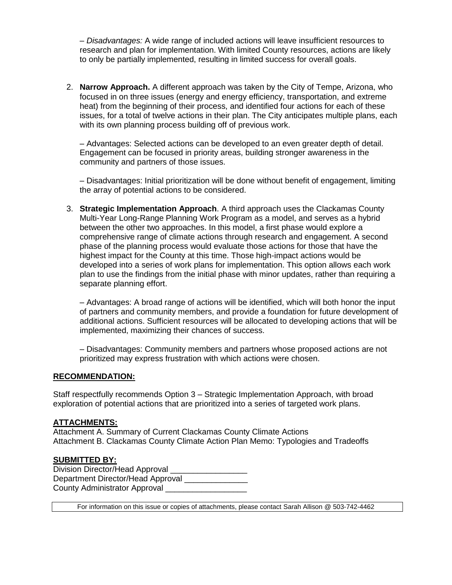– *Disadvantages:* A wide range of included actions will leave insufficient resources to research and plan for implementation. With limited County resources, actions are likely to only be partially implemented, resulting in limited success for overall goals.

2. **Narrow Approach.** A different approach was taken by the City of Tempe, Arizona, who focused in on three issues (energy and energy efficiency, transportation, and extreme heat) from the beginning of their process, and identified four actions for each of these issues, for a total of twelve actions in their plan. The City anticipates multiple plans, each with its own planning process building off of previous work.

– Advantages: Selected actions can be developed to an even greater depth of detail. Engagement can be focused in priority areas, building stronger awareness in the community and partners of those issues.

– Disadvantages: Initial prioritization will be done without benefit of engagement, limiting the array of potential actions to be considered.

3. **Strategic Implementation Approach**. A third approach uses the Clackamas County Multi-Year Long-Range Planning Work Program as a model, and serves as a hybrid between the other two approaches. In this model, a first phase would explore a comprehensive range of climate actions through research and engagement. A second phase of the planning process would evaluate those actions for those that have the highest impact for the County at this time. Those high-impact actions would be developed into a series of work plans for implementation. This option allows each work plan to use the findings from the initial phase with minor updates, rather than requiring a separate planning effort.

– Advantages: A broad range of actions will be identified, which will both honor the input of partners and community members, and provide a foundation for future development of additional actions. Sufficient resources will be allocated to developing actions that will be implemented, maximizing their chances of success.

– Disadvantages: Community members and partners whose proposed actions are not prioritized may express frustration with which actions were chosen.

### **RECOMMENDATION:**

Staff respectfully recommends Option 3 – Strategic Implementation Approach, with broad exploration of potential actions that are prioritized into a series of targeted work plans.

### **ATTACHMENTS:**

Attachment A. Summary of Current Clackamas County Climate Actions Attachment B. Clackamas County Climate Action Plan Memo: Typologies and Tradeoffs

### **SUBMITTED BY:**

Division Director/Head Approval Department Director/Head Approval County Administrator Approval

For information on this issue or copies of attachments, please contact Sarah Allison @ 503-742-4462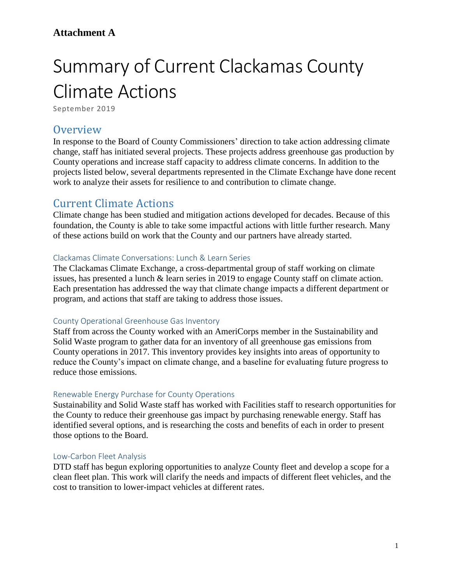## **Attachment A**

# Summary of Current Clackamas County Climate Actions

September 2019

## **Overview**

In response to the Board of County Commissioners' direction to take action addressing climate change, staff has initiated several projects. These projects address greenhouse gas production by County operations and increase staff capacity to address climate concerns. In addition to the projects listed below, several departments represented in the Climate Exchange have done recent work to analyze their assets for resilience to and contribution to climate change.

# Current Climate Actions

Climate change has been studied and mitigation actions developed for decades. Because of this foundation, the County is able to take some impactful actions with little further research. Many of these actions build on work that the County and our partners have already started.

### Clackamas Climate Conversations: Lunch & Learn Series

The Clackamas Climate Exchange, a cross-departmental group of staff working on climate issues, has presented a lunch & learn series in 2019 to engage County staff on climate action. Each presentation has addressed the way that climate change impacts a different department or program, and actions that staff are taking to address those issues.

### County Operational Greenhouse Gas Inventory

Staff from across the County worked with an AmeriCorps member in the Sustainability and Solid Waste program to gather data for an inventory of all greenhouse gas emissions from County operations in 2017. This inventory provides key insights into areas of opportunity to reduce the County's impact on climate change, and a baseline for evaluating future progress to reduce those emissions.

### Renewable Energy Purchase for County Operations

Sustainability and Solid Waste staff has worked with Facilities staff to research opportunities for the County to reduce their greenhouse gas impact by purchasing renewable energy. Staff has identified several options, and is researching the costs and benefits of each in order to present those options to the Board.

### Low-Carbon Fleet Analysis

DTD staff has begun exploring opportunities to analyze County fleet and develop a scope for a clean fleet plan. This work will clarify the needs and impacts of different fleet vehicles, and the cost to transition to lower-impact vehicles at different rates.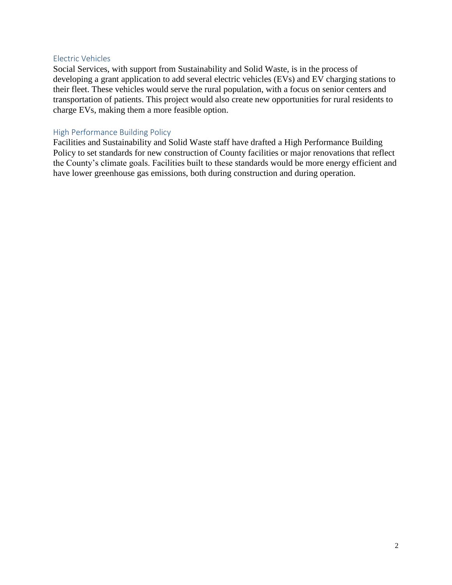### Electric Vehicles

Social Services, with support from Sustainability and Solid Waste, is in the process of developing a grant application to add several electric vehicles (EVs) and EV charging stations to their fleet. These vehicles would serve the rural population, with a focus on senior centers and transportation of patients. This project would also create new opportunities for rural residents to charge EVs, making them a more feasible option.

### High Performance Building Policy

Facilities and Sustainability and Solid Waste staff have drafted a High Performance Building Policy to set standards for new construction of County facilities or major renovations that reflect the County's climate goals. Facilities built to these standards would be more energy efficient and have lower greenhouse gas emissions, both during construction and during operation.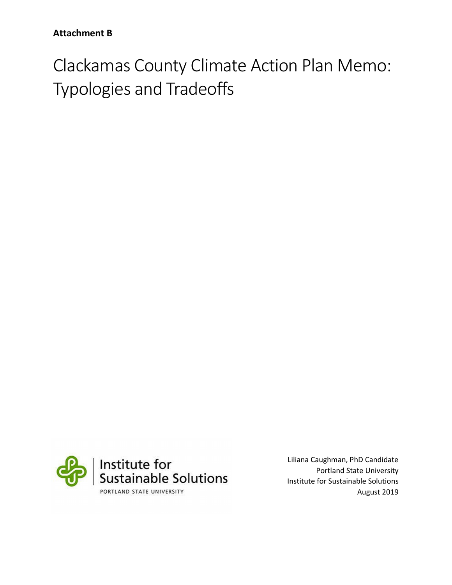Clackamas County Climate Action Plan Memo: Typologies and Tradeoffs



Liliana Caughman, PhD Candidate Portland State University Institute for Sustainable Solutions August 2019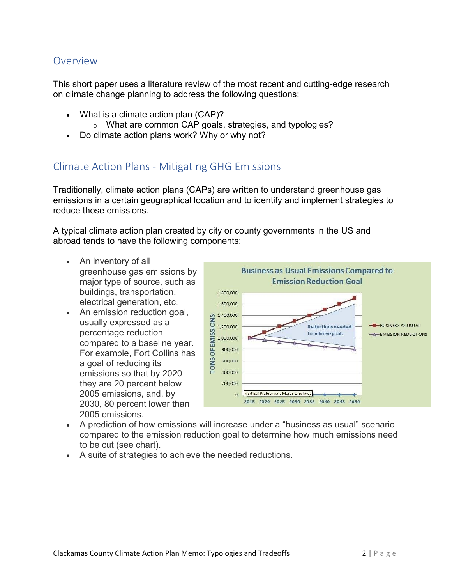## Overview

This short paper uses a literature review of the most recent and cutting-edge research on climate change planning to address the following questions:

- What is a climate action plan (CAP)?
	- o What are common CAP goals, strategies, and typologies?
- Do climate action plans work? Why or why not?

## Climate Action Plans - Mitigating GHG Emissions

Traditionally, climate action plans (CAPs) are written to understand greenhouse gas emissions in a certain geographical location and to identify and implement strategies to reduce those emissions.

A typical climate action plan created by city or county governments in the US and abroad tends to have the following components:

- An inventory of all greenhouse gas emissions by major type of source, such as buildings, transportation, electrical generation, etc.
- An emission reduction goal, usually expressed as a percentage reduction compared to a baseline year. For example, Fort Collins has a goal of reducing its emissions so that by 2020 they are 20 percent below 2005 emissions, and, by 2030, 80 percent lower than 2005 emissions.



- A prediction of how emissions will increase under a "business as usual" scenario compared to the emission reduction goal to determine how much emissions need to be cut (see chart).
- A suite of strategies to achieve the needed reductions.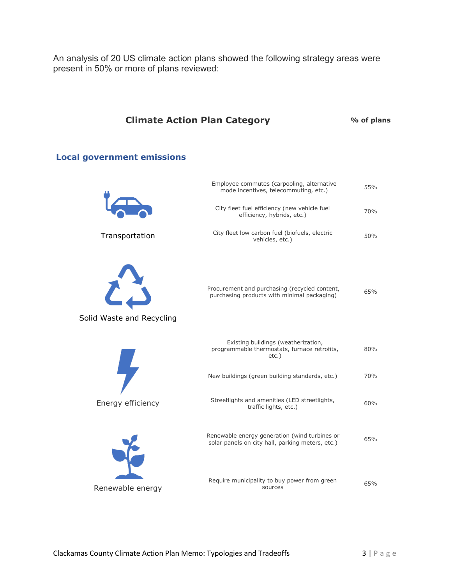An analysis of 20 US climate action plans showed the following strategy areas were present in 50% or more of plans reviewed:

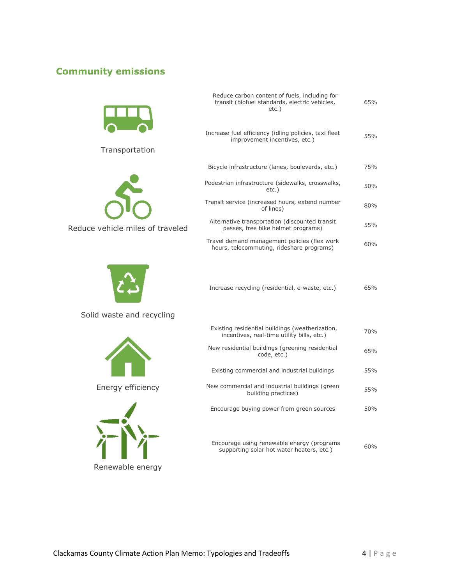## **Community emissions**



Transportation





Solid waste and recycling



Energy efficiency



| Reduce carbon content of fuels, including for<br>transit (biofuel standards, electric vehicles,<br>$etc.$ ) | 65% |
|-------------------------------------------------------------------------------------------------------------|-----|
| Increase fuel efficiency (idling policies, taxi fleet<br>improvement incentives, etc.)                      | 55% |
| Bicycle infrastructure (lanes, boulevards, etc.)                                                            | 75% |
| Pedestrian infrastructure (sidewalks, crosswalks,<br>$etc.$ )                                               | 50% |
| Transit service (increased hours, extend number<br>of lines)                                                | 80% |
| Alternative transportation (discounted transit<br>passes, free bike helmet programs)                        | 55% |
| Travel demand management policies (flex work<br>hours, telecommuting, rideshare programs)                   | 60% |
|                                                                                                             |     |

Increase recycling (residential, e-waste, etc.) 65%

| Existing residential buildings (weatherization,<br>incentives, real-time utility bills, etc.) | 70% |
|-----------------------------------------------------------------------------------------------|-----|
| New residential buildings (greening residential<br>code, etc.)                                | 65% |
| Existing commercial and industrial buildings                                                  | 55% |
| New commercial and industrial buildings (green<br>building practices)                         | 55% |
| Encourage buying power from green sources                                                     | 50% |
|                                                                                               |     |

Encourage using renewable energy (programs courage using renewable energy (programs<br>supporting solar hot water heaters, etc.)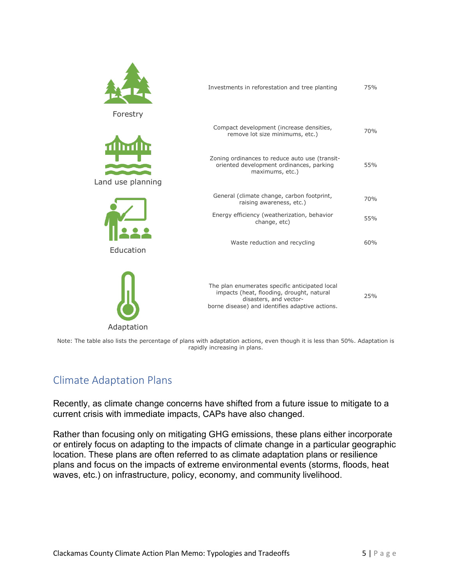|                   | Investments in reforestation and tree planting                                                                                                                           | 75% |
|-------------------|--------------------------------------------------------------------------------------------------------------------------------------------------------------------------|-----|
| Forestry          | Compact development (increase densities,<br>remove lot size minimums, etc.)                                                                                              | 70% |
| Land use planning | Zoning ordinances to reduce auto use (transit-<br>oriented development ordinances, parking<br>maximums, etc.)                                                            | 55% |
|                   | General (climate change, carbon footprint,<br>raising awareness, etc.)                                                                                                   | 70% |
|                   | Energy efficiency (weatherization, behavior<br>change, etc)                                                                                                              | 55% |
| Education         | Waste reduction and recycling                                                                                                                                            | 60% |
| Adaptation        | The plan enumerates specific anticipated local<br>impacts (heat, flooding, drought, natural<br>disasters, and vector-<br>borne disease) and identifies adaptive actions. | 25% |

Note: The table also lists the percentage of plans with adaptation actions, even though it is less than 50%. Adaptation is rapidly increasing in plans.

# Climate Adaptation Plans

Recently, as climate change concerns have shifted from a future issue to mitigate to a current crisis with immediate impacts, CAPs have also changed.

Rather than focusing only on mitigating GHG emissions, these plans either incorporate or entirely focus on adapting to the impacts of climate change in a particular geographic location. These plans are often referred to as climate adaptation plans or resilience plans and focus on the impacts of extreme environmental events (storms, floods, heat waves, etc.) on infrastructure, policy, economy, and community livelihood.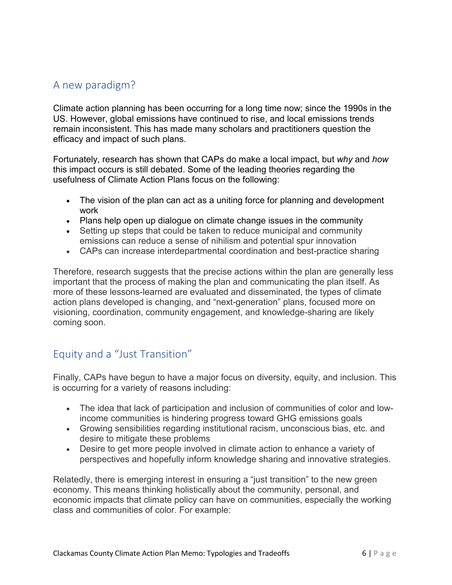# A new paradigm?

Climate action planning has been occurring for a long time now; since the 1990s in the US. However, global emissions have continued to rise, and local emissions trends remain inconsistent. This has made many scholars and practitioners question the efficacy and impact of such plans.

Fortunately, research has shown that CAPs do make a local impact, but *why* and *how*  this impact occurs is still debated. Some of the leading theories regarding the usefulness of Climate Action Plans focus on the following:

- The vision of the plan can act as a uniting force for planning and development work
- Plans help open up dialogue on climate change issues in the community
- Setting up steps that could be taken to reduce municipal and community emissions can reduce a sense of nihilism and potential spur innovation
- CAPs can increase interdepartmental coordination and best-practice sharing

Therefore, research suggests that the precise actions within the plan are generally less important that the process of making the plan and communicating the plan itself. As more of these lessons-learned are evaluated and disseminated, the types of climate action plans developed is changing, and "next-generation" plans, focused more on visioning, coordination, community engagement, and knowledge-sharing are likely coming soon.

# Equity and a "Just Transition"

Finally, CAPs have begun to have a major focus on diversity, equity, and inclusion. This is occurring for a variety of reasons including:

- The idea that lack of participation and inclusion of communities of color and lowincome communities is hindering progress toward GHG emissions goals
- Growing sensibilities regarding institutional racism, unconscious bias, etc. and desire to mitigate these problems
- Desire to get more people involved in climate action to enhance a variety of perspectives and hopefully inform knowledge sharing and innovative strategies.

Relatedly, there is emerging interest in ensuring a "just transition" to the new green economy. This means thinking holistically about the community, personal, and economic impacts that climate policy can have on communities, especially the working class and communities of color. For example: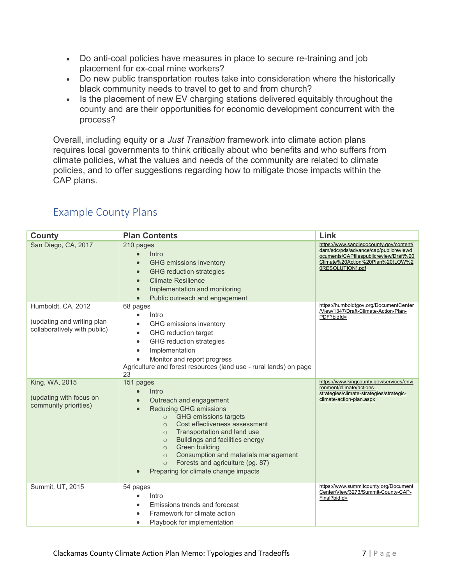- Do anti-coal policies have measures in place to secure re-training and job placement for ex-coal mine workers?
- Do new public transportation routes take into consideration where the historically black community needs to travel to get to and from church?
- Is the placement of new EV charging stations delivered equitably throughout the county and are their opportunities for economic development concurrent with the process?

Overall, including equity or a *Just Transition* framework into climate action plans requires local governments to think critically about who benefits and who suffers from climate policies, what the values and needs of the community are related to climate policies, and to offer suggestions regarding how to mitigate those impacts within the CAP plans.

| County                                                                           | <b>Plan Contents</b>                                                                                                                                                                                                                                                                                                                                                                                                                                                               | Link                                                                                                                                                                               |
|----------------------------------------------------------------------------------|------------------------------------------------------------------------------------------------------------------------------------------------------------------------------------------------------------------------------------------------------------------------------------------------------------------------------------------------------------------------------------------------------------------------------------------------------------------------------------|------------------------------------------------------------------------------------------------------------------------------------------------------------------------------------|
| San Diego, CA, 2017                                                              | 210 pages<br>Intro<br>GHG emissions inventory<br>$\bullet$<br><b>GHG</b> reduction strategies<br>$\bullet$<br><b>Climate Resilience</b><br>$\bullet$<br>Implementation and monitoring<br>$\bullet$<br>Public outreach and engagement<br>$\bullet$                                                                                                                                                                                                                                  | https://www.sandiegocounty.gov/content/<br>dam/sdc/pds/advance/cap/publicreviewd<br>ocuments/CAPfilespublicreview/Draft%20<br>Climate%20Action%20Plan%20(LOW%2<br>0RESOLUTION).pdf |
| Humboldt, CA, 2012<br>(updating and writing plan<br>collaboratively with public) | 68 pages<br>Intro<br>$\bullet$<br>GHG emissions inventory<br>$\bullet$<br>GHG reduction target<br>$\bullet$<br>GHG reduction strategies<br>$\bullet$<br>Implementation<br>$\bullet$<br>Monitor and report progress<br>$\bullet$<br>Agriculture and forest resources (land use - rural lands) on page<br>23                                                                                                                                                                         | https://humboldtgov.org/DocumentCenter<br>/View/1347/Draft-Climate-Action-Plan-<br>PDF?bidId=                                                                                      |
| King, WA, 2015<br>(updating with focus on<br>community priorities)               | 151 pages<br>Intro<br>$\bullet$<br>Outreach and engagement<br>$\bullet$<br><b>Reducing GHG emissions</b><br>$\bullet$<br><b>GHG</b> emissions targets<br>$\circ$<br>Cost effectiveness assessment<br>$\circ$<br>Transportation and land use<br>$\circ$<br><b>Buildings and facilities energy</b><br>$\circ$<br>Green building<br>$\circ$<br>Consumption and materials management<br>$\circ$<br>Forests and agriculture (pg. 87)<br>$\circ$<br>Preparing for climate change impacts | https://www.kingcounty.gov/services/envi<br>ronment/climate/actions-<br>strategies/climate-strategies/strategic-<br>climate-action-plan.aspx                                       |
| Summit, UT, 2015                                                                 | 54 pages<br>Intro<br>Emissions trends and forecast<br>Framework for climate action<br>$\bullet$<br>Playbook for implementation<br>$\bullet$                                                                                                                                                                                                                                                                                                                                        | https://www.summitcounty.org/Document<br>Center/View/3273/Summit-County-CAP-<br>Final?bidld=                                                                                       |

# Example County Plans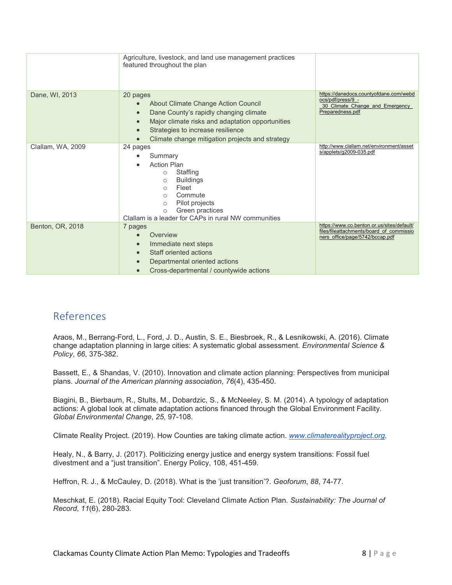|                   | Agriculture, livestock, and land use management practices<br>featured throughout the plan                                                                                                                                                                                                 |                                                                                                                           |
|-------------------|-------------------------------------------------------------------------------------------------------------------------------------------------------------------------------------------------------------------------------------------------------------------------------------------|---------------------------------------------------------------------------------------------------------------------------|
| Dane, WI, 2013    | 20 pages<br>About Climate Change Action Council<br>$\bullet$<br>Dane County's rapidly changing climate<br>$\bullet$<br>Major climate risks and adaptation opportunities<br>$\bullet$<br>Strategies to increase resilience<br>$\bullet$<br>Climate change mitigation projects and strategy | https://danedocs.countyofdane.com/webd<br>ocs/pdf/press/9 -<br>30 Climate Change and Emergency<br>Preparedness.pdf        |
| Clallam, WA, 2009 | 24 pages<br>Summary<br><b>Action Plan</b><br>Staffing<br>$\circ$<br><b>Buildings</b><br>$\bigcirc$<br>Fleet<br>$\bigcirc$<br>Commute<br>$\bigcirc$<br>Pilot projects<br>$\bigcirc$<br>Green practices<br>$\circ$<br>Clallam is a leader for CAPs in rural NW communities                  | http://www.clallam.net/environment/asset<br>s/applets/g2009-035.pdf                                                       |
| Benton, OR, 2018  | 7 pages<br>Overview<br>Immediate next steps<br>$\bullet$<br>Staff oriented actions<br>$\bullet$<br>Departmental oriented actions<br>$\bullet$<br>Cross-departmental / countywide actions<br>$\bullet$                                                                                     | https://www.co.benton.or.us/sites/default/<br>files/fileattachments/board of commissio<br>ners office/page/5742/bccap.pdf |

## References

Araos, M., Berrang-Ford, L., Ford, J. D., Austin, S. E., Biesbroek, R., & Lesnikowski, A. (2016). Climate change adaptation planning in large cities: A systematic global assessment. *Environmental Science & Policy*, *66*, 375-382.

Bassett, E., & Shandas, V. (2010). Innovation and climate action planning: Perspectives from municipal plans. *Journal of the American planning association*, *76*(4), 435-450.

Biagini, B., Bierbaum, R., Stults, M., Dobardzic, S., & McNeeley, S. M. (2014). A typology of adaptation actions: A global look at climate adaptation actions financed through the Global Environment Facility. *Global Environmental Change*, *25*, 97-108.

Climate Reality Project. (2019). How Counties are taking climate action. *[www.climaterealityproject.org.](http://www.climaterealityproject.org/)*

Healy, N., & Barry, J. (2017). Politicizing energy justice and energy system transitions: Fossil fuel divestment and a "just transition". Energy Policy, 108, 451-459.

Heffron, R. J., & McCauley, D. (2018). What is the 'just transition'?. *Geoforum*, *88*, 74-77.

Meschkat, E. (2018). Racial Equity Tool: Cleveland Climate Action Plan. *Sustainability: The Journal of Record*, *11*(6), 280-283.